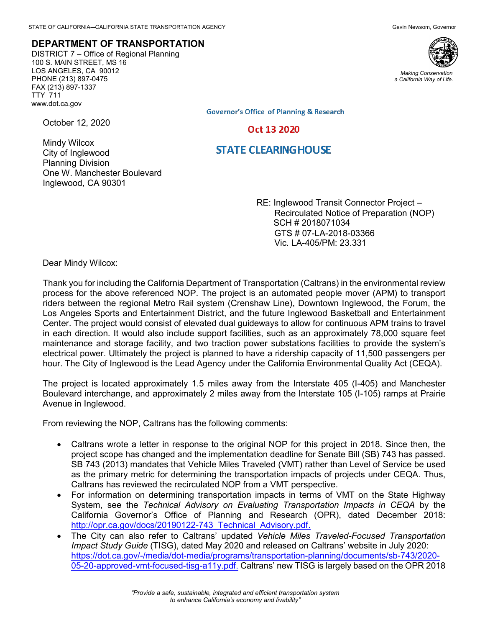## **DEPARTMENT OF TRANSPORTATION**

DISTRICT 7 – Office of Regional Planning 100 S. MAIN STREET, MS 16 LOS ANGELES, CA 90012 PHONE (213) 897-0475 FAX (213) 897-1337 TTY 711 www.dot.ca.gov

One W. Manchester Boulevard



*Making Conservation a California Way of Life.*

**Governor's Office of Planning & Research** 

## Oct 13 2020

## **STATE CLEARINGHOUSE**

RE: Inglewood Transit Connector Project – Recirculated Notice of Preparation (NOP) SCH # 2018071034 GTS # 07-LA-2018-03366 Vic. LA-405/PM: 23.331

Dear Mindy Wilcox:

Inglewood, CA 90301

October 12, 2020

Mindy Wilcox City of Inglewood Planning Division

Thank you for including the California Department of Transportation (Caltrans) in the environmental review process for the above referenced NOP. The project is an automated people mover (APM) to transport riders between the regional Metro Rail system (Crenshaw Line), Downtown Inglewood, the Forum, the Los Angeles Sports and Entertainment District, and the future Inglewood Basketball and Entertainment Center. The project would consist of elevated dual guideways to allow for continuous APM trains to travel in each direction. It would also include support facilities, such as an approximately 78,000 square feet maintenance and storage facility, and two traction power substations facilities to provide the system's electrical power. Ultimately the project is planned to have a ridership capacity of 11,500 passengers per hour. The City of Inglewood is the Lead Agency under the California Environmental Quality Act (CEQA).

The project is located approximately 1.5 miles away from the Interstate 405 (I-405) and Manchester Boulevard interchange, and approximately 2 miles away from the Interstate 105 (I-105) ramps at Prairie Avenue in Inglewood.

From reviewing the NOP, Caltrans has the following comments:

- Caltrans wrote a letter in response to the original NOP for this project in 2018. Since then, the project scope has changed and the implementation deadline for Senate Bill (SB) 743 has passed. SB 743 (2013) mandates that Vehicle Miles Traveled (VMT) rather than Level of Service be used as the primary metric for determining the transportation impacts of projects under CEQA. Thus, Caltrans has reviewed the recirculated NOP from a VMT perspective.
- For information on determining transportation impacts in terms of VMT on the State Highway System, see the *Technical Advisory on Evaluating Transportation Impacts in CEQA* by the California Governor's Office of Planning and Research (OPR), dated December 2018: [http://opr.ca.gov/docs/20190122-743\\_Technical\\_Advisory.pdf.](http://opr.ca.gov/docs/20190122-743_Technical_Advisory.pdf)
- The City can also refer to Caltrans' updated *Vehicle Miles Traveled-Focused Transportation Impact Study Guide* (TISG), dated May 2020 and released on Caltrans' website in July 2020: [https://dot.ca.gov/-/media/dot-media/programs/transportation-planning/documents/sb-743/2020-](https://dot.ca.gov/-/media/dot-media/programs/transportation-planning/documents/sb-743/2020-05-20-approved-vmt-focused-tisg-a11y.pdf) [05-20-approved-vmt-focused-tisg-a11y.pdf.](https://dot.ca.gov/-/media/dot-media/programs/transportation-planning/documents/sb-743/2020-05-20-approved-vmt-focused-tisg-a11y.pdf) Caltrans' new TISG is largely based on the OPR 2018